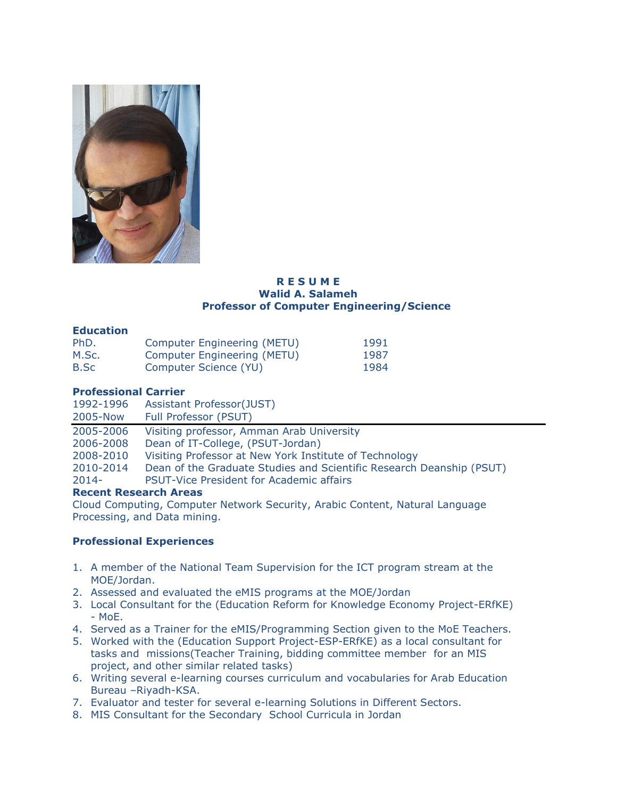

#### **R E S U M E Walid A. Salameh Professor of Computer Engineering/Science**

### **Education**

| PhD.  | <b>Computer Engineering (METU)</b> | 1991 |
|-------|------------------------------------|------|
| M.Sc. | Computer Engineering (METU)        | 1987 |
| B.Sc  | Computer Science (YU)              | 1984 |

# **Professional Carrier**

| 1992-1996                             | <b>Assistant Professor(JUST)</b>                                     |  |  |  |
|---------------------------------------|----------------------------------------------------------------------|--|--|--|
| 2005-Now                              | Full Professor (PSUT)                                                |  |  |  |
| 2005-2006                             | Visiting professor, Amman Arab University                            |  |  |  |
| 2006-2008                             | Dean of IT-College, (PSUT-Jordan)                                    |  |  |  |
| 2008-2010                             | Visiting Professor at New York Institute of Technology               |  |  |  |
| 2010-2014                             | Dean of the Graduate Studies and Scientific Research Deanship (PSUT) |  |  |  |
| $2014 -$                              | <b>PSUT-Vice President for Academic affairs</b>                      |  |  |  |
| <b>Description Description August</b> |                                                                      |  |  |  |

# **Recent Research Areas**

Cloud Computing, Computer Network Security, Arabic Content, Natural Language Processing, and Data mining.

# **Professional Experiences**

- 1. A member of the National Team Supervision for the ICT program stream at the MOE/Jordan.
- 2. Assessed and evaluated the eMIS programs at the MOE/Jordan
- 3. Local Consultant for the (Education Reform for Knowledge Economy Project-ERfKE) - MoE.
- 4. Served as a Trainer for the eMIS/Programming Section given to the MoE Teachers.
- 5. Worked with the (Education Support Project-ESP-ERfKE) as a local consultant for tasks and missions(Teacher Training, bidding committee member for an MIS project, and other similar related tasks)
- 6. Writing several e-learning courses curriculum and vocabularies for Arab Education Bureau –Riyadh-KSA.
- 7. Evaluator and tester for several e-learning Solutions in Different Sectors.
- 8. MIS Consultant for the Secondary School Curricula in Jordan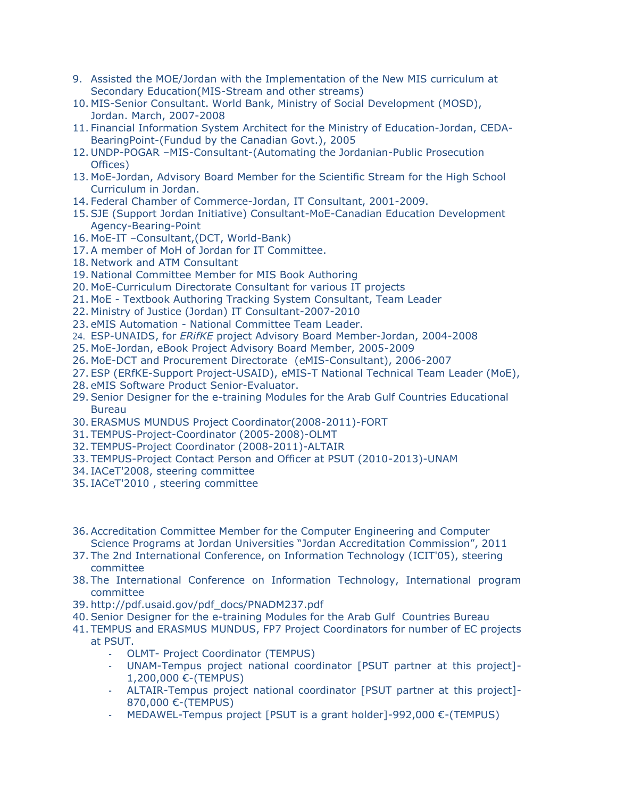- 9. Assisted the MOE/Jordan with the Implementation of the New MIS curriculum at Secondary Education(MIS-Stream and other streams)
- 10. MIS-Senior Consultant. World Bank, Ministry of Social Development (MOSD), Jordan. March, 2007-2008
- 11. Financial Information System Architect for the Ministry of Education-Jordan, CEDA-BearingPoint-(Fundud by the Canadian Govt.), 2005
- 12. UNDP-POGAR –MIS-Consultant-(Automating the Jordanian-Public Prosecution Offices)
- 13. MoE-Jordan, Advisory Board Member for the Scientific Stream for the High School Curriculum in Jordan.
- 14. Federal Chamber of Commerce-Jordan, IT Consultant, 2001-2009.
- 15.SJE (Support Jordan Initiative) Consultant-MoE-Canadian Education Development Agency-Bearing-Point
- 16. MoE-IT –Consultant,(DCT, World-Bank)
- 17.A member of MoH of Jordan for IT Committee.
- 18. Network and ATM Consultant
- 19. National Committee Member for MIS Book Authoring
- 20. MoE-Curriculum Directorate Consultant for various IT projects
- 21. MoE Textbook Authoring Tracking System Consultant, Team Leader
- 22. Ministry of Justice (Jordan) IT Consultant-2007-2010
- 23. eMIS Automation National Committee Team Leader.
- 24. ESP-UNAIDS, for *ERifKE* project Advisory Board Member-Jordan, 2004-2008
- 25. MoE-Jordan, eBook Project Advisory Board Member, 2005-2009
- 26. MoE-DCT and Procurement Directorate (eMIS-Consultant), 2006-2007
- 27. ESP (ERfKE-Support Project-USAID), eMIS-T National Technical Team Leader (MoE),
- 28. eMIS Software Product Senior-Evaluator.
- 29.Senior Designer for the e-training Modules for the Arab Gulf Countries Educational **Bureau**
- 30. ERASMUS MUNDUS Project Coordinator(2008-2011)-FORT
- 31. TEMPUS-Project-Coordinator (2005-2008)-OLMT
- 32. TEMPUS-Project Coordinator (2008-2011)-ALTAIR
- 33. TEMPUS-Project Contact Person and Officer at PSUT (2010-2013)-UNAM
- 34. IACeT'2008, steering committee
- 35. IACeT'2010 , steering committee
- 36.Accreditation Committee Member for the Computer Engineering and Computer Science Programs at Jordan Universities "Jordan Accreditation Commission", 2011
- 37. The 2nd International Conference, on Information Technology (ICIT'05), steering committee
- 38. The International Conference on Information Technology, International program committee
- 39. [http://pdf.usaid.gov/pdf\\_docs/PNADM237.pdf](http://pdf.usaid.gov/pdf_docs/PNADM237.pdf)
- 40.Senior Designer for the e-training Modules for the Arab Gulf Countries Bureau
- 41. TEMPUS and ERASMUS MUNDUS, FP7 Project Coordinators for number of EC projects at PSUT.
	- OLMT- Project Coordinator (TEMPUS)
	- UNAM-Tempus project national coordinator [PSUT partner at this project]- 1,200,000 €-(TEMPUS)
	- ALTAIR-Tempus project national coordinator [PSUT partner at this project]- 870,000 €-(TEMPUS)
	- MEDAWEL-Tempus project [PSUT is a grant holder]-992,000 €-(TEMPUS)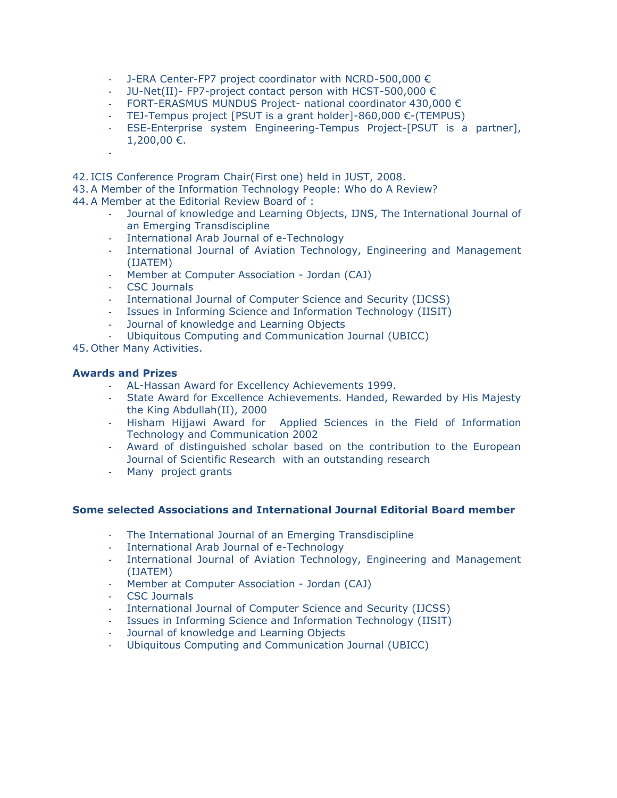- J-ERA Center-FP7 project coordinator with NCRD-500,000 €
- JU-Net(II)- FP7-project contact person with HCST-500,000 €
- FORT-ERASMUS MUNDUS Project- national coordinator 430,000 €
- TEJ-Tempus project [PSUT is a grant holder]-860,000  $\epsilon$ -(TEMPUS)
- ESE-Enterprise system Engineering-Tempus Project-[PSUT is a partner], 1,200,00 €.
- 42. ICIS Conference Program Chair(First one) held in JUST, 2008.
- 43.A Member of the Information Technology People: Who do A Review?
- 44.A Member at the Editorial Review Board of :
	- Journal of knowledge and Learning Objects, IJNS, The International Journal of an Emerging Transdiscipline
	- International Arab Journal of e-Technology
	- International Journal of Aviation Technology, Engineering and Management (IJATEM)
	- Member at Computer Association Jordan (CAJ)
	- [CSC Journals](http://www.cscjournals.org/csc/manuscriptinfo.php?ManuscriptCode=72.73.66.82.82.44.49.49.52.99&JCode=IJCSS&EJCode=64.65.58.74.74.107&Volume=4&Issue=1)
	- International Journal of Computer Science and Security (IJCSS)
	- [Issues in Informing Science and Information Technology](http://iisit.org/) (IISIT)
	- Journal of knowledge and Learning Objects
	- Ubiquitous Computing and Communication Journal (UBICC)

45. Other Many Activities.

## **Awards and Prizes**

-

- AL-Hassan Award for Excellency Achievements 1999.
- State Award for Excellence Achievements. Handed, Rewarded by His Majesty the King Abdullah(II), 2000
- Hisham Hijjawi Award for Applied Sciences in the Field of Information Technology and Communication 2002
- Award of distinguished scholar based on the contribution to the European Journal of Scientific Research with an outstanding research
- Many project grants

## **Some selected Associations and International Journal Editorial Board member**

- The International Journal of an Emerging Transdiscipline
- International Arab Journal of e-Technology
- International Journal of Aviation Technology, Engineering and Management (IJATEM)
- Member at Computer Association Jordan (CAJ)
- [CSC Journals](http://www.cscjournals.org/csc/manuscriptinfo.php?ManuscriptCode=72.73.66.82.82.44.49.49.52.99&JCode=IJCSS&EJCode=64.65.58.74.74.107&Volume=4&Issue=1)
- International Journal of Computer Science and Security (IJCSS)
- [Issues in Informing Science and Information Technology](http://iisit.org/) (IISIT)<br>- Journal of knowledge and Learning Objects
- Journal of knowledge and Learning Objects
- Ubiquitous Computing and Communication Journal (UBICC)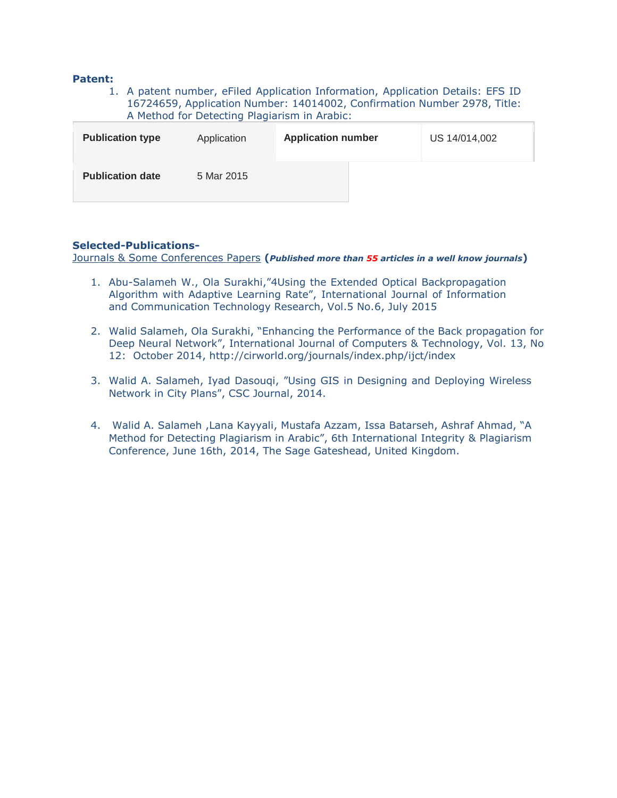#### **Patent:**

1. A patent number, eFiled Application Information, Application Details: EFS ID 16724659, Application Number: 14014002, Confirmation Number 2978, Title: A Method for Detecting Plagiarism in Arabic:

| <b>Publication type</b> | Application | <b>Application number</b> | US 14/014,002 |
|-------------------------|-------------|---------------------------|---------------|
| <b>Publication date</b> | 5 Mar 2015  |                           |               |

## **Selected-Publications-**

Journals & Some Conferences Papers **(***Published more than 55 articles in a well know journals***)**

- 1. Abu-Salameh W., Ola Surakhi,"4Using the Extended Optical Backpropagation Algorithm with Adaptive Learning Rate", International Journal of Information and Communication Technology Research, Vol.5 No.6, July 2015
- 2. Walid Salameh, Ola Surakhi, "Enhancing the Performance of the Back propagation for Deep Neural Network", International Journal of Computers & Technology, Vol. 13, No 12: October 2014, http://cirworld.org/journals/index.php/ijct/index
- 3. Walid A. Salameh, Iyad Dasouqi, "Using GIS in Designing and Deploying Wireless Network in City Plans", CSC Journal, 2014.
- 4. Walid A. Salameh ,Lana Kayyali, Mustafa Azzam, Issa Batarseh, Ashraf Ahmad, "A Method for Detecting Plagiarism in Arabic", 6th International Integrity & Plagiarism Conference, June 16th, 2014, The Sage Gateshead, United Kingdom.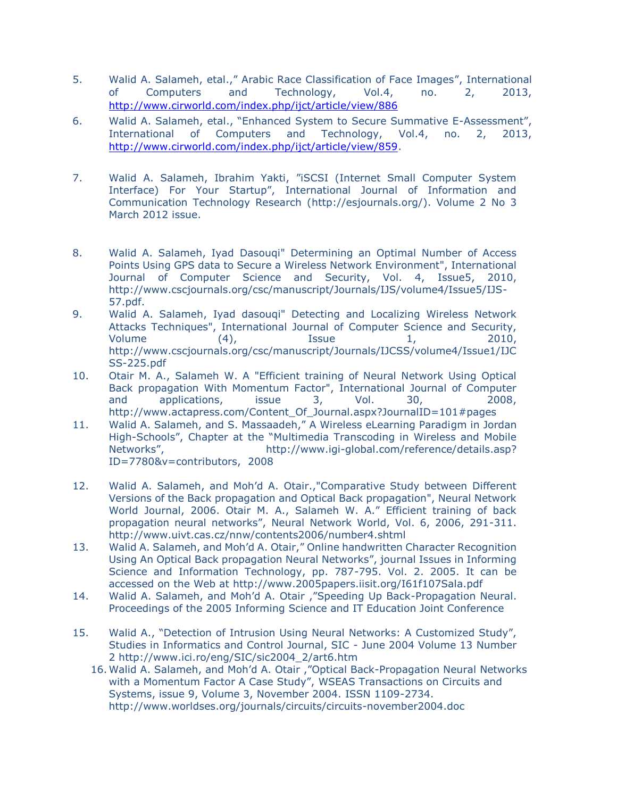- 5. Walid A. Salameh, etal.," Arabic Race Classification of Face Images", International of Computers and Technology, Vol.4, no. 2, 2013, <http://www.cirworld.com/index.php/ijct/article/view/886>
- 6. Walid A. Salameh, etal., "Enhanced System to Secure Summative E-Assessment", International of Computers and Technology, Vol.4, no. 2, 2013, [http://www.cirworld.com/index.php/ijct/article/view/859.](http://www.cirworld.com/index.php/ijct/article/view/859)
- 7. Walid A. Salameh, Ibrahim Yakti, "iSCSI (Internet Small Computer System Interface) For Your Startup", International Journal of Information and Communication Technology Research [\(http://esjournals.org/\)](http://esjournals.org/). Volume 2 No 3 March 2012 issue.
- 8. Walid A. Salameh, Iyad Dasouqi" Determining an Optimal Number of Access Points Using GPS data to Secure a Wireless Network Environment", International Journal of Computer Science and Security, Vol. 4, Issue5, 2010, [http://www.cscjournals.org/csc/manuscript/Journals/IJS/volume4/Issue5/IJS-](http://www.cscjournals.org/csc/manuscript/Journals/IJS/volume4/Issue5/IJS-57.pdf)[57.pdf.](http://www.cscjournals.org/csc/manuscript/Journals/IJS/volume4/Issue5/IJS-57.pdf)
- 9. Walid A. Salameh, Iyad dasouqi" Detecting and Localizing Wireless Network Attacks Techniques", International Journal of Computer Science and Security, Volume  $(4)$ , Issue  $1$ , 2010, [http://www.cscjournals.org/csc/manuscript/Journals/IJCSS/volume4/Issue1/IJC](http://www.cscjournals.org/csc/manuscript/Journals/IJCSS/volume4/Issue1/IJCSS-225.pdf) [SS-225.pdf](http://www.cscjournals.org/csc/manuscript/Journals/IJCSS/volume4/Issue1/IJCSS-225.pdf)
- 10. Otair M. A., Salameh W. A "Efficient training of Neural Network Using Optical Back propagation With Momentum Factor", International Journal of Computer and applications, issue 3, Vol. 30, 2008, [http://www.actapress.com/Content\\_Of\\_Journal.aspx?JournalID=101#pages](http://www.actapress.com/Content_Of_Journal.aspx?JournalID=101#pages)
- 11. Walid A. Salameh, and S. Massaadeh," A Wireless eLearning Paradigm in Jordan High-Schools", Chapter at the "Multimedia Transcoding in Wireless and Mobile Networks", http://www.igi-global.com/reference/details.asp? [ID=7780&v=contributors,](http://www.igi-global.com/reference/details.asp?%20ID=7780&v=contributors) 2008
- 12. Walid A. Salameh, and Moh'd A. Otair.,"Comparative Study between Different Versions of the Back propagation and Optical Back propagation", Neural Network World Journal, 2006. Otair M. A., Salameh W. A." Efficient training of back propagation neural networks", Neural Network World, Vol. 6, 2006, 291-311. <http://www.uivt.cas.cz/nnw/contents2006/number4.shtml>
- 13. Walid A. Salameh, and Moh'd A. Otair," Online handwritten Character Recognition Using An Optical Back propagation Neural Networks", journal Issues in Informing Science and Information Technology, pp. 787-795. Vol. 2. 2005. It can be accessed on the Web at<http://www.2005papers.iisit.org/I61f107Sala.pdf>
- 14. Walid A. Salameh, and Moh'd A. Otair ,"Speeding Up Back-Propagation Neural. Proceedings of the 2005 Informing Science and IT Education Joint Conference
- 15. Walid A., "Detection of Intrusion Using Neural Networks: A Customized Study", Studies in Informatics and Control Journal, SIC - June 2004 Volume 13 Number 2 [http://www.ici.ro/eng/SIC/sic2004\\_2/art6.htm](http://www.ici.ro/eng/SIC/sic2004_2/art6.htm)
	- 16. Walid A. Salameh, and Moh'd A. Otair ,"Optical Back-Propagation Neural Networks with a Momentum Factor A Case Study", WSEAS Transactions on Circuits and Systems, issue 9, Volume 3, November 2004. ISSN 1109-2734. <http://www.worldses.org/journals/circuits/circuits-november2004.doc>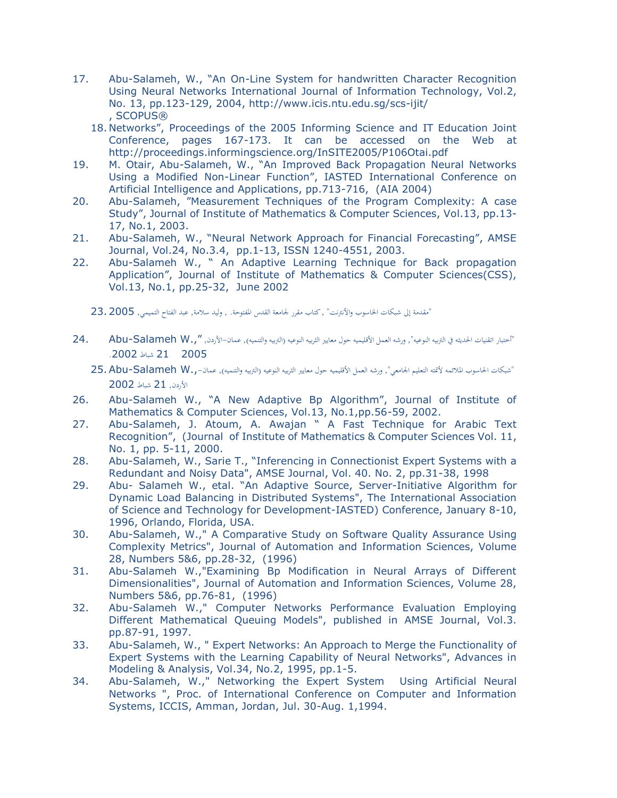- 17. Abu-Salameh, W., "An On-Line System for handwritten Character Recognition Using Neural Networks International Journal of Information Technology, Vol.2, No. 13, pp.123-129, 2004,<http://www.icis.ntu.edu.sg/scs-ijit/> , SCOPUS®
	- 18. Networks", Proceedings of the 2005 Informing Science and IT Education Joint Conference, pages 167-173. It can be accessed on the Web at <http://proceedings.informingscience.org/InSITE2005/P106Otai.pdf>
- 19. M. Otair, Abu-Salameh, W., "An Improved Back Propagation Neural Networks Using a Modified Non-Linear Function", IASTED International Conference on Artificial Intelligence and Applications, pp.713-716, (AIA 2004)
- 20. Abu-Salameh, "Measurement Techniques of the Program Complexity: A case Study", Journal of Institute of Mathematics & Computer Sciences, Vol.13, pp.13- 17, No.1, 2003.
- 21. Abu-Salameh, W., "Neural Network Approach for Financial Forecasting", AMSE Journal, Vol.24, No.3.4, pp.1-13, ISSN 1240-4551, 2003.
- 22. Abu-Salameh W., " An Adaptive Learning Technique for Back propagation Application", Journal of Institute of Mathematics & Computer Sciences(CSS), Vol.13, No.1, pp.25-32, June 2002
	- "مقدمة إلى شبكات الخاسوب والأنترنت" , كتاب مقرر لجامعة القدس المفتوحة. , وليد سلامة, عبد الفتاح التميمي, 2005 .23
- "أختبار اتقنيات الحديثه في التربيه النوعيه", ورشه العمل الأقليميه حول معايير الثربيه والتنميه), عمان-الأردن, ".,Rbu-Salameh W 2005 21 شباط .2002
	- "شبكات احلاسوب املالئمه ألمتته التعليم اجلامعي", ورشه العمل األقليميه حول معايري الثربيه النوعيه )الرتبيه والتنميه(, عمان.,-W Salameh-Abu25. األردن, 21 شباط 2002
- 26. Abu-Salameh W., "A New Adaptive Bp Algorithm", Journal of Institute of Mathematics & Computer Sciences, Vol.13, No.1,pp.56-59, 2002.
- 27. Abu-Salameh, J. Atoum, A. Awajan " A Fast Technique for Arabic Text Recognition", (Journal of Institute of Mathematics & Computer Sciences Vol. 11, No. 1, pp. 5-11, 2000.
- 28. Abu-Salameh, W., Sarie T., "Inferencing in Connectionist Expert Systems with a Redundant and Noisy Data", AMSE Journal, Vol. 40. No. 2, pp.31-38, 1998
- 29. Abu- Salameh W., etal. "An Adaptive Source, Server-Initiative Algorithm for Dynamic Load Balancing in Distributed Systems", The International Association of Science and Technology for Development-IASTED) Conference, January 8-10, 1996, Orlando, Florida, USA.
- 30. Abu-Salameh, W.," A Comparative Study on Software Quality Assurance Using Complexity Metrics", Journal of Automation and Information Sciences, Volume 28, Numbers 5&6, pp.28-32, (1996)
- 31. Abu-Salameh W.,"Examining Bp Modification in Neural Arrays of Different Dimensionalities", Journal of Automation and Information Sciences, Volume 28, Numbers 5&6, pp.76-81, (1996)
- 32. Abu-Salameh W.," Computer Networks Performance Evaluation Employing Different Mathematical Queuing Models", published in AMSE Journal, Vol.3. pp.87-91, 1997.
- 33. Abu-Salameh, W., " Expert Networks: An Approach to Merge the Functionality of Expert Systems with the Learning Capability of Neural Networks", Advances in Modeling & Analysis, Vol.34, No.2, 1995, pp.1-5.
- 34. Abu-Salameh, W.," Networking the Expert System Using Artificial Neural Networks ", Proc. of International Conference on Computer and Information Systems, ICCIS, Amman, Jordan, Jul. 30-Aug. 1,1994.